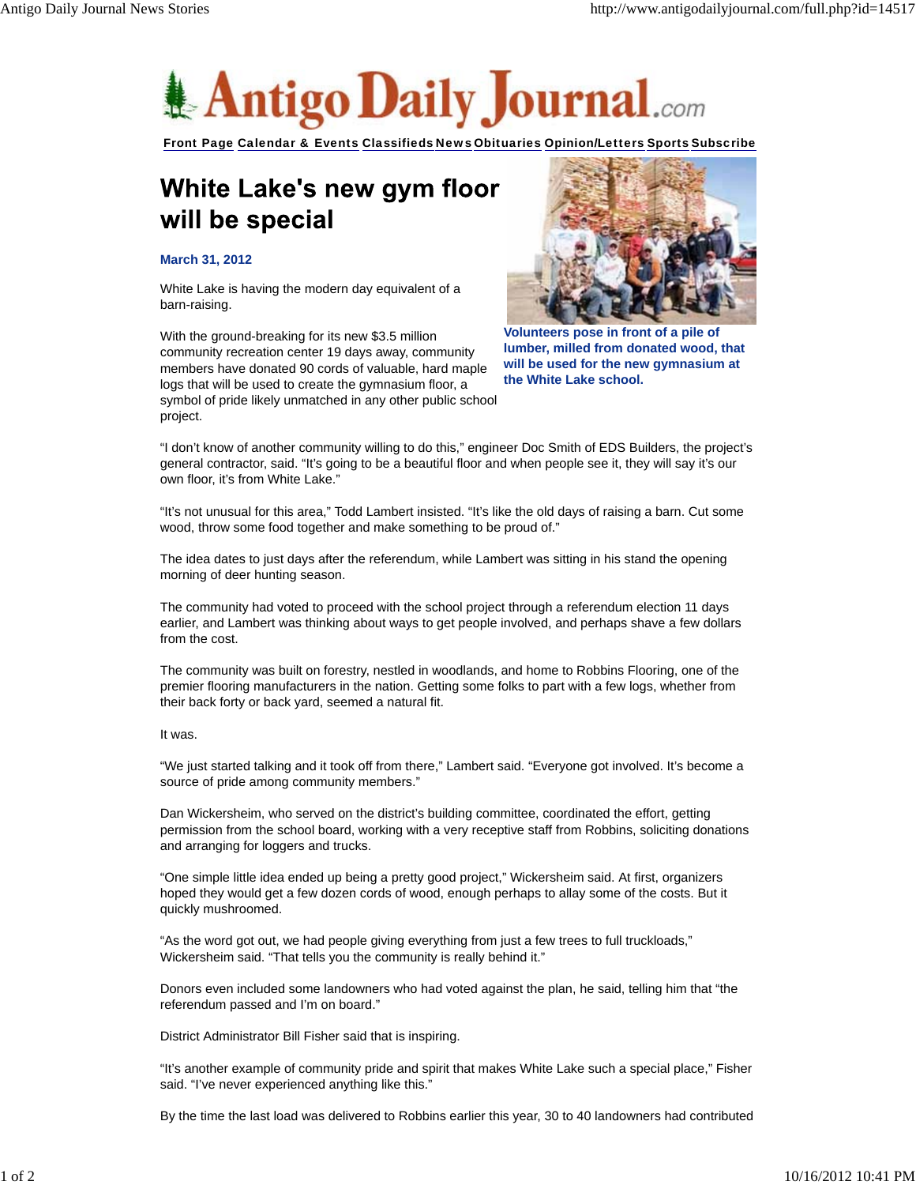

Front Page Calendar & Events Classifieds News Obituaries Opinion/Letters Sports Subscribe

## White Lake's new gym floor will be special

## **March 31, 2012**

White Lake is having the modern day equivalent of a barn-raising.

With the ground-breaking for its new \$3.5 million community recreation center 19 days away, community members have donated 90 cords of valuable, hard maple logs that will be used to create the gymnasium floor, a symbol of pride likely unmatched in any other public school project.



**Volunteers pose in front of a pile of lumber, milled from donated wood, that will be used for the new gymnasium at the White Lake school.**

"I don't know of another community willing to do this," engineer Doc Smith of EDS Builders, the project's general contractor, said. "It's going to be a beautiful floor and when people see it, they will say it's our own floor, it's from White Lake."

"It's not unusual for this area," Todd Lambert insisted. "It's like the old days of raising a barn. Cut some wood, throw some food together and make something to be proud of."

The idea dates to just days after the referendum, while Lambert was sitting in his stand the opening morning of deer hunting season.

The community had voted to proceed with the school project through a referendum election 11 days earlier, and Lambert was thinking about ways to get people involved, and perhaps shave a few dollars from the cost.

The community was built on forestry, nestled in woodlands, and home to Robbins Flooring, one of the premier flooring manufacturers in the nation. Getting some folks to part with a few logs, whether from their back forty or back yard, seemed a natural fit.

## It was.

"We just started talking and it took off from there," Lambert said. "Everyone got involved. It's become a source of pride among community members."

Dan Wickersheim, who served on the district's building committee, coordinated the effort, getting permission from the school board, working with a very receptive staff from Robbins, soliciting donations and arranging for loggers and trucks.

"One simple little idea ended up being a pretty good project," Wickersheim said. At first, organizers hoped they would get a few dozen cords of wood, enough perhaps to allay some of the costs. But it quickly mushroomed.

"As the word got out, we had people giving everything from just a few trees to full truckloads," Wickersheim said. "That tells you the community is really behind it."

Donors even included some landowners who had voted against the plan, he said, telling him that "the referendum passed and I'm on board."

District Administrator Bill Fisher said that is inspiring.

"It's another example of community pride and spirit that makes White Lake such a special place," Fisher said. "I've never experienced anything like this."

By the time the last load was delivered to Robbins earlier this year, 30 to 40 landowners had contributed